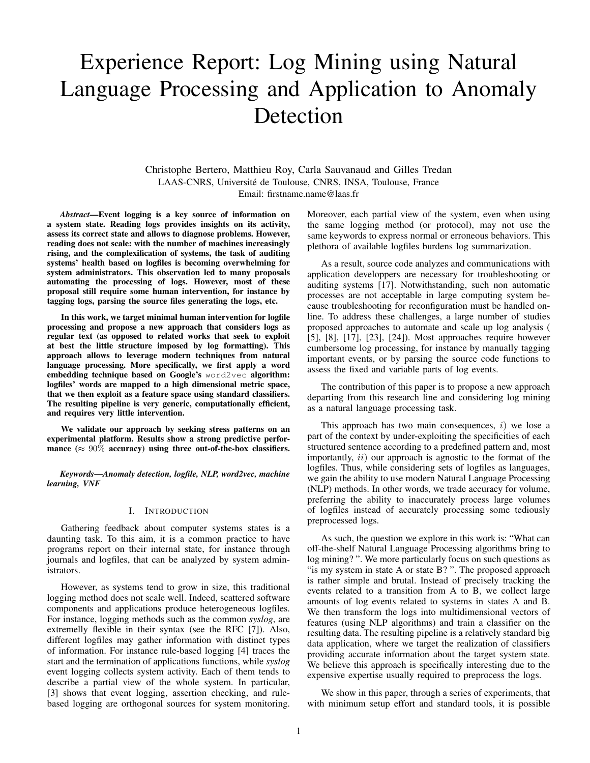# Experience Report: Log Mining using Natural Language Processing and Application to Anomaly Detection

Christophe Bertero, Matthieu Roy, Carla Sauvanaud and Gilles Tredan LAAS-CNRS, Universite de Toulouse, CNRS, INSA, Toulouse, France ´ Email: firstname.name@laas.fr

*Abstract*—Event logging is a key source of information on a system state. Reading logs provides insights on its activity, assess its correct state and allows to diagnose problems. However, reading does not scale: with the number of machines increasingly rising, and the complexification of systems, the task of auditing systems' health based on logfiles is becoming overwhelming for system administrators. This observation led to many proposals automating the processing of logs. However, most of these proposal still require some human intervention, for instance by tagging logs, parsing the source files generating the logs, etc.

In this work, we target minimal human intervention for logfile processing and propose a new approach that considers logs as regular text (as opposed to related works that seek to exploit at best the little structure imposed by log formatting). This approach allows to leverage modern techniques from natural language processing. More specifically, we first apply a word embedding technique based on Google's word2vec algorithm: logfiles' words are mapped to a high dimensional metric space, that we then exploit as a feature space using standard classifiers. The resulting pipeline is very generic, computationally efficient, and requires very little intervention.

We validate our approach by seeking stress patterns on an experimental platform. Results show a strong predictive performance  $(\approx 90\%$  accuracy) using three out-of-the-box classifiers.

*Keywords*—*Anomaly detection, logfile, NLP, word2vec, machine learning, VNF*

# I. INTRODUCTION

Gathering feedback about computer systems states is a daunting task. To this aim, it is a common practice to have programs report on their internal state, for instance through journals and logfiles, that can be analyzed by system administrators.

However, as systems tend to grow in size, this traditional logging method does not scale well. Indeed, scattered software components and applications produce heterogeneous logfiles. For instance, logging methods such as the common *syslog*, are extremelly flexible in their syntax (see the RFC [7]). Also, different logfiles may gather information with distinct types of information. For instance rule-based logging [4] traces the start and the termination of applications functions, while *syslog* event logging collects system activity. Each of them tends to describe a partial view of the whole system. In particular, [3] shows that event logging, assertion checking, and rulebased logging are orthogonal sources for system monitoring.

Moreover, each partial view of the system, even when using the same logging method (or protocol), may not use the same keywords to express normal or erroneous behaviors. This plethora of available logfiles burdens log summarization.

As a result, source code analyzes and communications with application developpers are necessary for troubleshooting or auditing systems [17]. Notwithstanding, such non automatic processes are not acceptable in large computing system because troubleshooting for reconfiguration must be handled online. To address these challenges, a large number of studies proposed approaches to automate and scale up log analysis ( [5], [8], [17], [23], [24]). Most approaches require however cumbersome log processing, for instance by manually tagging important events, or by parsing the source code functions to assess the fixed and variable parts of log events.

The contribution of this paper is to propose a new approach departing from this research line and considering log mining as a natural language processing task.

This approach has two main consequences,  $i$ ) we lose a part of the context by under-exploiting the specificities of each structured sentence according to a predefined pattern and, most importantly,  $ii)$  our approach is agnostic to the format of the logfiles. Thus, while considering sets of logfiles as languages, we gain the ability to use modern Natural Language Processing (NLP) methods. In other words, we trade accuracy for volume, preferring the ability to inaccurately process large volumes of logfiles instead of accurately processing some tediously preprocessed logs.

As such, the question we explore in this work is: "What can off-the-shelf Natural Language Processing algorithms bring to log mining? ". We more particularly focus on such questions as "is my system in state A or state B? ". The proposed approach is rather simple and brutal. Instead of precisely tracking the events related to a transition from A to B, we collect large amounts of log events related to systems in states A and B. We then transform the logs into multidimensional vectors of features (using NLP algorithms) and train a classifier on the resulting data. The resulting pipeline is a relatively standard big data application, where we target the realization of classifiers providing accurate information about the target system state. We believe this approach is specifically interesting due to the expensive expertise usually required to preprocess the logs.

We show in this paper, through a series of experiments, that with minimum setup effort and standard tools, it is possible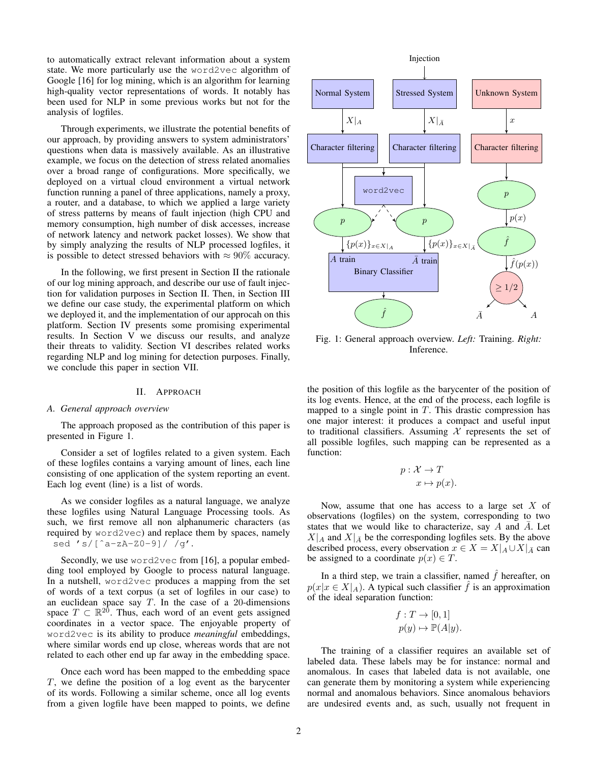to automatically extract relevant information about a system state. We more particularly use the word2vec algorithm of Google [16] for log mining, which is an algorithm for learning high-quality vector representations of words. It notably has been used for NLP in some previous works but not for the analysis of logfiles.

Through experiments, we illustrate the potential benefits of our approach, by providing answers to system administrators' questions when data is massively available. As an illustrative example, we focus on the detection of stress related anomalies over a broad range of configurations. More specifically, we deployed on a virtual cloud environment a virtual network function running a panel of three applications, namely a proxy, a router, and a database, to which we applied a large variety of stress patterns by means of fault injection (high CPU and memory consumption, high number of disk accesses, increase of network latency and network packet losses). We show that by simply analyzing the results of NLP processed logfiles, it is possible to detect stressed behaviors with  $\approx 90\%$  accuracy.

In the following, we first present in Section II the rationale of our log mining approach, and describe our use of fault injection for validation purposes in Section II. Then, in Section III we define our case study, the experimental platform on which we deployed it, and the implementation of our approcah on this platform. Section IV presents some promising experimental results. In Section V we discuss our results, and analyze their threats to validity. Section VI describes related works regarding NLP and log mining for detection purposes. Finally, we conclude this paper in section VII.

### II. APPROACH

#### *A. General approach overview*

The approach proposed as the contribution of this paper is presented in Figure 1.

Consider a set of logfiles related to a given system. Each of these logfiles contains a varying amount of lines, each line consisting of one application of the system reporting an event. Each log event (line) is a list of words.

As we consider logfiles as a natural language, we analyze these logfiles using Natural Language Processing tools. As such, we first remove all non alphanumeric characters (as required by word2vec) and replace them by spaces, namely sed 's/[ˆa-zA-Z0-9]/ /g'.

Secondly, we use word2vec from [16], a popular embedding tool employed by Google to process natural language. In a nutshell, word2vec produces a mapping from the set of words of a text corpus (a set of logfiles in our case) to an euclidean space say  $T$ . In the case of a 20-dimensions space  $T \text{ }\subset \mathbb{R}^{20}$ . Thus, each word of an event gets assigned coordinates in a vector space. The enjoyable property of word2vec is its ability to produce *meaningful* embeddings, where similar words end up close, whereas words that are not related to each other end up far away in the embedding space.

Once each word has been mapped to the embedding space T, we define the position of a log event as the barycenter of its words. Following a similar scheme, once all log events from a given logfile have been mapped to points, we define



Fig. 1: General approach overview. *Left:* Training. *Right:* Inference.

the position of this logfile as the barycenter of the position of its log events. Hence, at the end of the process, each logfile is mapped to a single point in  $T$ . This drastic compression has one major interest: it produces a compact and useful input to traditional classifiers. Assuming  $X$  represents the set of all possible logfiles, such mapping can be represented as a function:

$$
p: \mathcal{X} \to T
$$

$$
x \mapsto p(x).
$$

Now, assume that one has access to a large set  $X$  of observations (logfiles) on the system, corresponding to two states that we would like to characterize, say  $A$  and  $A$ . Let  $X|_A$  and  $X|_{\bar{A}}$  be the corresponding logfiles sets. By the above described process, every observation  $x \in X = X|_A \cup X|_{\bar{A}}$  can be assigned to a coordinate  $p(x) \in T$ .

In a third step, we train a classifier, named  $\hat{f}$  hereafter, on  $p(x|x \in X|_A)$ . A typical such classifier  $\hat{f}$  is an approximation of the ideal separation function:

$$
f: T \to [0, 1]
$$

$$
p(y) \mapsto \mathbb{P}(A|y).
$$

The training of a classifier requires an available set of labeled data. These labels may be for instance: normal and anomalous. In cases that labeled data is not available, one can generate them by monitoring a system while experiencing normal and anomalous behaviors. Since anomalous behaviors are undesired events and, as such, usually not frequent in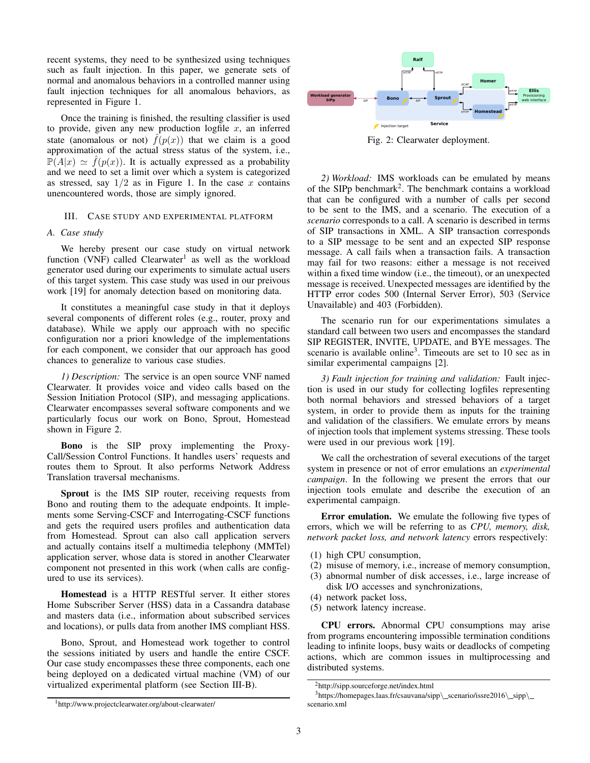recent systems, they need to be synthesized using techniques such as fault injection. In this paper, we generate sets of normal and anomalous behaviors in a controlled manner using fault injection techniques for all anomalous behaviors, as represented in Figure 1.

Once the training is finished, the resulting classifier is used to provide, given any new production logfile  $x$ , an inferred state (anomalous or not)  $\hat{f}(p(x))$  that we claim is a good approximation of the actual stress status of the system, i.e.,  $\mathbb{P}(A|x) \simeq f(p(x))$ . It is actually expressed as a probability and we need to set a limit over which a system is categorized as stressed, say  $1/2$  as in Figure 1. In the case x contains unencountered words, those are simply ignored.

# III. CASE STUDY AND EXPERIMENTAL PLATFORM

### *A. Case study*

We hereby present our case study on virtual network function (VNF) called Clearwater<sup>1</sup> as well as the workload generator used during our experiments to simulate actual users of this target system. This case study was used in our preivous work [19] for anomaly detection based on monitoring data.

It constitutes a meaningful case study in that it deploys several components of different roles (e.g., router, proxy and database). While we apply our approach with no specific configuration nor a priori knowledge of the implementations for each component, we consider that our approach has good chances to generalize to various case studies.

*1) Description:* The service is an open source VNF named Clearwater. It provides voice and video calls based on the Session Initiation Protocol (SIP), and messaging applications. Clearwater encompasses several software components and we particularly focus our work on Bono, Sprout, Homestead shown in Figure 2.

Bono is the SIP proxy implementing the Proxy-Call/Session Control Functions. It handles users' requests and routes them to Sprout. It also performs Network Address Translation traversal mechanisms.

Sprout is the IMS SIP router, receiving requests from Bono and routing them to the adequate endpoints. It implements some Serving-CSCF and Interrogating-CSCF functions and gets the required users profiles and authentication data from Homestead. Sprout can also call application servers and actually contains itself a multimedia telephony (MMTel) application server, whose data is stored in another Clearwater component not presented in this work (when calls are configured to use its services).

Homestead is a HTTP RESTful server. It either stores Home Subscriber Server (HSS) data in a Cassandra database and masters data (i.e., information about subscribed services and locations), or pulls data from another IMS compliant HSS.

Bono, Sprout, and Homestead work together to control the sessions initiated by users and handle the entire CSCF. Our case study encompasses these three components, each one being deployed on a dedicated virtual machine (VM) of our virtualized experimental platform (see Section III-B).



Fig. 2: Clearwater deployment.

*2) Workload:* IMS workloads can be emulated by means of the SIPp benchmark<sup>2</sup>. The benchmark contains a workload that can be configured with a number of calls per second to be sent to the IMS, and a scenario. The execution of a *scenario* corresponds to a call. A scenario is described in terms of SIP transactions in XML. A SIP transaction corresponds to a SIP message to be sent and an expected SIP response message. A call fails when a transaction fails. A transaction may fail for two reasons: either a message is not received within a fixed time window (i.e., the timeout), or an unexpected message is received. Unexpected messages are identified by the HTTP error codes 500 (Internal Server Error), 503 (Service Unavailable) and 403 (Forbidden).

The scenario run for our experimentations simulates a standard call between two users and encompasses the standard SIP REGISTER, INVITE, UPDATE, and BYE messages. The scenario is available online<sup>3</sup>. Timeouts are set to 10 sec as in similar experimental campaigns [2].

*3) Fault injection for training and validation:* Fault injection is used in our study for collecting logfiles representing both normal behaviors and stressed behaviors of a target system, in order to provide them as inputs for the training and validation of the classifiers. We emulate errors by means of injection tools that implement systems stressing. These tools were used in our previous work [19].

We call the orchestration of several executions of the target system in presence or not of error emulations an *experimental campaign*. In the following we present the errors that our injection tools emulate and describe the execution of an experimental campaign.

Error emulation. We emulate the following five types of errors, which we will be referring to as *CPU, memory, disk, network packet loss, and network latency* errors respectively:

- (1) high CPU consumption,
- (2) misuse of memory, i.e., increase of memory consumption,
- (3) abnormal number of disk accesses, i.e., large increase of disk I/O accesses and synchronizations,
- (4) network packet loss,
- (5) network latency increase.

CPU errors. Abnormal CPU consumptions may arise from programs encountering impossible termination conditions leading to infinite loops, busy waits or deadlocks of competing actions, which are common issues in multiprocessing and distributed systems.

<sup>2</sup>http://sipp.sourceforge.net/index.html

 $3$ https://homepages.laas.fr/csauvana/sipp\\_scenario/issre2016\\_sipp\\_ scenario.xml

<sup>1</sup>http://www.projectclearwater.org/about-clearwater/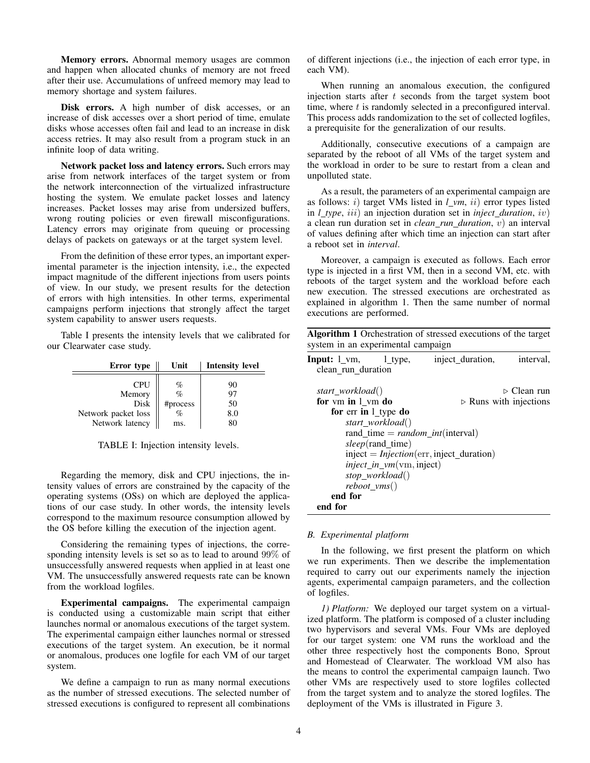Memory errors. Abnormal memory usages are common and happen when allocated chunks of memory are not freed after their use. Accumulations of unfreed memory may lead to memory shortage and system failures.

Disk errors. A high number of disk accesses, or an increase of disk accesses over a short period of time, emulate disks whose accesses often fail and lead to an increase in disk access retries. It may also result from a program stuck in an infinite loop of data writing.

Network packet loss and latency errors. Such errors may arise from network interfaces of the target system or from the network interconnection of the virtualized infrastructure hosting the system. We emulate packet losses and latency increases. Packet losses may arise from undersized buffers, wrong routing policies or even firewall misconfigurations. Latency errors may originate from queuing or processing delays of packets on gateways or at the target system level.

From the definition of these error types, an important experimental parameter is the injection intensity, i.e., the expected impact magnitude of the different injections from users points of view. In our study, we present results for the detection of errors with high intensities. In other terms, experimental campaigns perform injections that strongly affect the target system capability to answer users requests.

Table I presents the intensity levels that we calibrated for our Clearwater case study.

| Error type                                                             | Unit                                               | <b>Intensity level</b>      |
|------------------------------------------------------------------------|----------------------------------------------------|-----------------------------|
| <b>CPU</b><br>Memory<br>Disk<br>Network packet loss<br>Network latency | %<br>$\phi$<br>#process $\frac{\omega}{\%}$<br>ms. | 90<br>97<br>50<br>8.0<br>80 |

TABLE I: Injection intensity levels.

Regarding the memory, disk and CPU injections, the intensity values of errors are constrained by the capacity of the operating systems (OSs) on which are deployed the applications of our case study. In other words, the intensity levels correspond to the maximum resource consumption allowed by the OS before killing the execution of the injection agent.

Considering the remaining types of injections, the corresponding intensity levels is set so as to lead to around 99% of unsuccessfully answered requests when applied in at least one VM. The unsuccessfully answered requests rate can be known from the workload logfiles.

Experimental campaigns. The experimental campaign is conducted using a customizable main script that either launches normal or anomalous executions of the target system. The experimental campaign either launches normal or stressed executions of the target system. An execution, be it normal or anomalous, produces one logfile for each VM of our target system.

We define a campaign to run as many normal executions as the number of stressed executions. The selected number of stressed executions is configured to represent all combinations of different injections (i.e., the injection of each error type, in each VM).

When running an anomalous execution, the configured injection starts after  $t$  seconds from the target system boot time, where  $t$  is randomly selected in a preconfigured interval. This process adds randomization to the set of collected logfiles, a prerequisite for the generalization of our results.

Additionally, consecutive executions of a campaign are separated by the reboot of all VMs of the target system and the workload in order to be sure to restart from a clean and unpolluted state.

As a result, the parameters of an experimental campaign are as follows: i) target VMs listed in *l vm*, ii) error types listed in *l type*, iii) an injection duration set in *inject duration*, iv) a clean run duration set in *clean run duration*, v) an interval of values defining after which time an injection can start after a reboot set in *interval*.

Moreover, a campaign is executed as follows. Each error type is injected in a first VM, then in a second VM, etc. with reboots of the target system and the workload before each new execution. The stressed executions are orchestrated as explained in algorithm 1. Then the same number of normal executions are performed.

| Algorithm 1 Orchestration of stressed executions of the target |  |  |
|----------------------------------------------------------------|--|--|
| system in an experimental campaign                             |  |  |

| <b>Input:</b> 1 vm, 1 type,<br>clean_run_duration |                               | inject_duration,                            | interval,                             |
|---------------------------------------------------|-------------------------------|---------------------------------------------|---------------------------------------|
| start workload()                                  |                               |                                             | $\triangleright$ Clean run            |
| for vm in 1_vm do                                 |                               |                                             | $\triangleright$ Runs with injections |
| for err in 1 type do                              |                               |                                             |                                       |
| start_workload()                                  |                               |                                             |                                       |
|                                                   |                               | rand_time = $random\_int(interval)$         |                                       |
| <i>sleep</i> (rand_time)                          |                               |                                             |                                       |
|                                                   |                               | $inject = Injection(err, inject\_duration)$ |                                       |
|                                                   | $inject\_in\_vm$ (vm, inject) |                                             |                                       |
| stop_workload()                                   |                               |                                             |                                       |
| $reboot\_vms()$                                   |                               |                                             |                                       |
| end for                                           |                               |                                             |                                       |
| end for                                           |                               |                                             |                                       |

## *B. Experimental platform*

In the following, we first present the platform on which we run experiments. Then we describe the implementation required to carry out our experiments namely the injection agents, experimental campaign parameters, and the collection of logfiles.

*1) Platform:* We deployed our target system on a virtualized platform. The platform is composed of a cluster including two hypervisors and several VMs. Four VMs are deployed for our target system: one VM runs the workload and the other three respectively host the components Bono, Sprout and Homestead of Clearwater. The workload VM also has the means to control the experimental campaign launch. Two other VMs are respectively used to store logfiles collected from the target system and to analyze the stored logfiles. The deployment of the VMs is illustrated in Figure 3.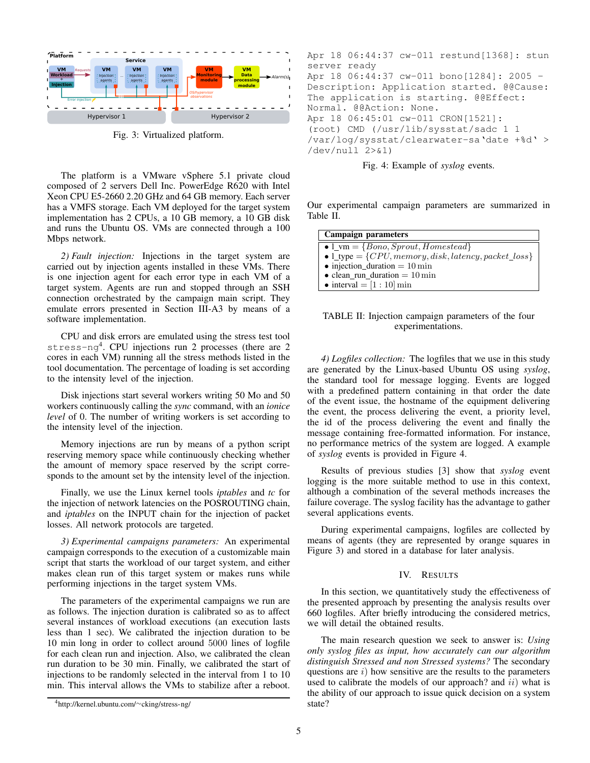

Fig. 3: Virtualized platform.

The platform is a VMware vSphere 5.1 private cloud composed of 2 servers Dell Inc. PowerEdge R620 with Intel Xeon CPU E5-2660 2.20 GHz and 64 GB memory. Each server has a VMFS storage. Each VM deployed for the target system implementation has 2 CPUs, a 10 GB memory, a 10 GB disk and runs the Ubuntu OS. VMs are connected through a 100 Mbps network.

*2) Fault injection:* Injections in the target system are carried out by injection agents installed in these VMs. There is one injection agent for each error type in each VM of a target system. Agents are run and stopped through an SSH connection orchestrated by the campaign main script. They emulate errors presented in Section III-A3 by means of a software implementation.

CPU and disk errors are emulated using the stress test tool stress-ng<sup>4</sup>. CPU injections run 2 processes (there are 2 cores in each VM) running all the stress methods listed in the tool documentation. The percentage of loading is set according to the intensity level of the injection.

Disk injections start several workers writing 50 Mo and 50 workers continuously calling the *sync* command, with an *ionice level* of 0. The number of writing workers is set according to the intensity level of the injection.

Memory injections are run by means of a python script reserving memory space while continuously checking whether the amount of memory space reserved by the script corresponds to the amount set by the intensity level of the injection.

Finally, we use the Linux kernel tools *iptables* and *tc* for the injection of network latencies on the POSROUTING chain, and *iptables* on the INPUT chain for the injection of packet losses. All network protocols are targeted.

*3) Experimental campaigns parameters:* An experimental campaign corresponds to the execution of a customizable main script that starts the workload of our target system, and either makes clean run of this target system or makes runs while performing injections in the target system VMs.

The parameters of the experimental campaigns we run are as follows. The injection duration is calibrated so as to affect several instances of workload executions (an execution lasts less than 1 sec). We calibrated the injection duration to be 10 min long in order to collect around 5000 lines of logfile for each clean run and injection. Also, we calibrated the clean run duration to be 30 min. Finally, we calibrated the start of injections to be randomly selected in the interval from 1 to 10 min. This interval allows the VMs to stabilize after a reboot.

```
Apr 18 06:44:37 cw-011 restund[1368]: stun
server ready
Apr 18 06:44:37 cw-011 bono[1284]: 2005 -
Description: Application started. @@Cause:
The application is starting. @@Effect:
Normal. @@Action: None.
Apr 18 06:45:01 cw-011 CRON[1521]:
(root) CMD (/usr/lib/sysstat/sadc 1 1
/var/log/sysstat/clearwater-sa'date +%d' >
/dev/null 2>&1)
```


Our experimental campaign parameters are summarized in Table II.

| Campaign parameters                                    |
|--------------------------------------------------------|
| • 1 vm = ${Bono, Sprout, Homested}$                    |
| • Lype = $\{CPU, memory, disk, latency, packet_loss\}$ |
| $\bullet$ injection_duration = 10 min                  |
| • clean run duration $= 10 \text{ min}$                |
| $\bullet$ interval = [1 : 10] min                      |
|                                                        |

# TABLE II: Injection campaign parameters of the four experimentations.

*4) Logfiles collection:* The logfiles that we use in this study are generated by the Linux-based Ubuntu OS using *syslog*, the standard tool for message logging. Events are logged with a predefined pattern containing in that order the date of the event issue, the hostname of the equipment delivering the event, the process delivering the event, a priority level, the id of the process delivering the event and finally the message containing free-formatted information. For instance, no performance metrics of the system are logged. A example of *syslog* events is provided in Figure 4.

Results of previous studies [3] show that *syslog* event logging is the more suitable method to use in this context, although a combination of the several methods increases the failure coverage. The syslog facility has the advantage to gather several applications events.

During experimental campaigns, logfiles are collected by means of agents (they are represented by orange squares in Figure 3) and stored in a database for later analysis.

## IV. RESULTS

In this section, we quantitatively study the effectiveness of the presented approach by presenting the analysis results over 660 logfiles. After briefly introducing the considered metrics, we will detail the obtained results.

The main research question we seek to answer is: *Using only syslog files as input, how accurately can our algorithm distinguish Stressed and non Stressed systems?* The secondary questions are  $i)$  how sensitive are the results to the parameters used to calibrate the models of our approach? and  $ii)$  what is the ability of our approach to issue quick decision on a system state?

<sup>4</sup>http://kernel.ubuntu.com/∼cking/stress-ng/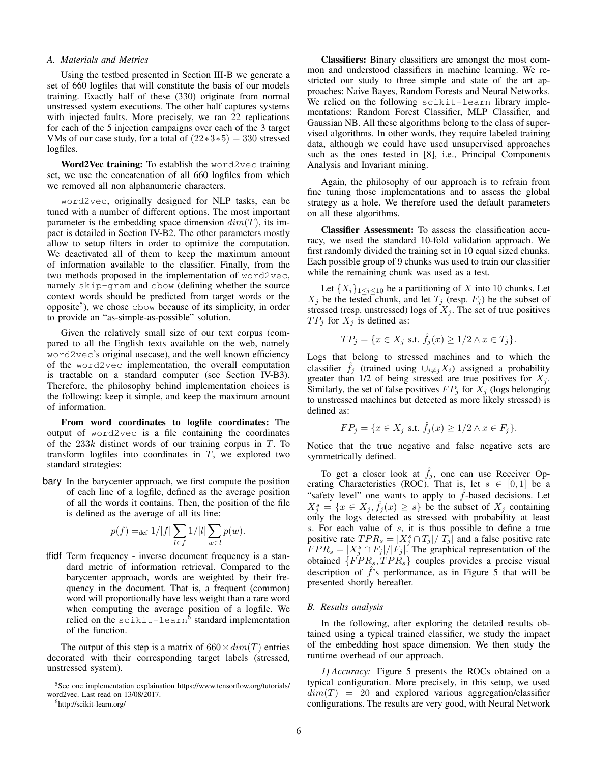#### *A. Materials and Metrics*

Using the testbed presented in Section III-B we generate a set of 660 logfiles that will constitute the basis of our models training. Exactly half of these (330) originate from normal unstressed system executions. The other half captures systems with injected faults. More precisely, we ran 22 replications for each of the 5 injection campaigns over each of the 3 target VMs of our case study, for a total of  $(22*3*5) = 330$  stressed logfiles.

Word2Vec training: To establish the word2vec training set, we use the concatenation of all 660 logfiles from which we removed all non alphanumeric characters.

word2vec, originally designed for NLP tasks, can be tuned with a number of different options. The most important parameter is the embedding space dimension  $dim(T)$ , its impact is detailed in Section IV-B2. The other parameters mostly allow to setup filters in order to optimize the computation. We deactivated all of them to keep the maximum amount of information available to the classifier. Finally, from the two methods proposed in the implementation of word2vec, namely skip-gram and cbow (defining whether the source context words should be predicted from target words or the opposite<sup>5</sup>), we chose cbow because of its simplicity, in order to provide an "as-simple-as-possible" solution.

Given the relatively small size of our text corpus (compared to all the English texts available on the web, namely word2vec's original usecase), and the well known efficiency of the word2vec implementation, the overall computation is tractable on a standard computer (see Section IV-B3). Therefore, the philosophy behind implementation choices is the following: keep it simple, and keep the maximum amount of information.

From word coordinates to logfile coordinates: The output of word2vec is a file containing the coordinates of the  $233k$  distinct words of our training corpus in  $T$ . To transform logfiles into coordinates in  $T$ , we explored two standard strategies:

bary In the barycenter approach, we first compute the position of each line of a logfile, defined as the average position of all the words it contains. Then, the position of the file is defined as the average of all its line:

$$
p(f) =_{\text{def}} 1/|f| \sum_{l \in f} 1/|l| \sum_{w \in l} p(w).
$$

tfidf Term frequency - inverse document frequency is a standard metric of information retrieval. Compared to the barycenter approach, words are weighted by their frequency in the document. That is, a frequent (common) word will proportionally have less weight than a rare word when computing the average position of a logfile. We relied on the scikit-learn<sup>6</sup> standard implementation of the function.

The output of this step is a matrix of  $660 \times dim(T)$  entries decorated with their corresponding target labels (stressed, unstressed system).

Classifiers: Binary classifiers are amongst the most common and understood classifiers in machine learning. We restricted our study to three simple and state of the art approaches: Naive Bayes, Random Forests and Neural Networks. We relied on the following scikit-learn library implementations: Random Forest Classifier, MLP Classifier, and Gaussian NB. All these algorithms belong to the class of supervised algorithms. In other words, they require labeled training data, although we could have used unsupervised approaches such as the ones tested in [8], i.e., Principal Components Analysis and Invariant mining.

Again, the philosophy of our approach is to refrain from fine tuning those implementations and to assess the global strategy as a hole. We therefore used the default parameters on all these algorithms.

Classifier Assessment: To assess the classification accuracy, we used the standard 10-fold validation approach. We first randomly divided the training set in 10 equal sized chunks. Each possible group of 9 chunks was used to train our classifier while the remaining chunk was used as a test.

Let  $\{X_i\}_{1 \leq i \leq 10}$  be a partitioning of X into 10 chunks. Let  $X_j$  be the tested chunk, and let  $T_j$  (resp.  $F_j$ ) be the subset of stressed (resp. unstressed) logs of  $X_j$ . The set of true positives  $TP_j$  for  $X_j$  is defined as:

$$
TP_j = \{x \in X_j \text{ s.t. } \hat{f}_j(x) \ge 1/2 \land x \in T_j\}.
$$

Logs that belong to stressed machines and to which the classifier  $f_j$  (trained using  $\cup_{i\neq j}X_i$ ) assigned a probability greater than  $1/2$  of being stressed are true positives for  $X_j$ . Similarly, the set of false positives  $FP_j$  for  $X_j$  (logs belonging to unstressed machines but detected as more likely stressed) is defined as:

$$
FP_j = \{x \in X_j \text{ s.t. } \hat{f}_j(x) \ge 1/2 \land x \in F_j\}.
$$

Notice that the true negative and false negative sets are symmetrically defined.

To get a closer look at  $\hat{f}_j$ , one can use Receiver Operating Characteristics (ROC). That is, let  $s \in [0,1]$  be a "safety level" one wants to apply to  $\hat{f}$ -based decisions. Let  $X_j^s = \{x \in X_j, \hat{f}_j(x) \geq s\}$  be the subset of  $X_j$  containing only the logs detected as stressed with probability at least s. For each value of s, it is thus possible to define a true positive rate  $TPR_s = |X_j^s \cap T_j|/|T_j|$  and a false positive rate  $FPR_s = |X_j^s \cap F_j|/|F_j|$ . The graphical representation of the obtained  $\{\overline{FPR_s}, \overline{TPR_s}\}$  couples provides a precise visual description of  $\hat{f}$ 's performance, as in Figure 5 that will be presented shortly hereafter.

#### *B. Results analysis*

In the following, after exploring the detailed results obtained using a typical trained classifier, we study the impact of the embedding host space dimension. We then study the runtime overhead of our approach.

*1) Accuracy:* Figure 5 presents the ROCs obtained on a typical configuration. More precisely, in this setup, we used  $dim(T) = 20$  and explored various aggregation/classifier configurations. The results are very good, with Neural Network

<sup>5</sup>See one implementation explaination https://www.tensorflow.org/tutorials/ word2vec. Last read on 13/08/2017.

<sup>6</sup>http://scikit-learn.org/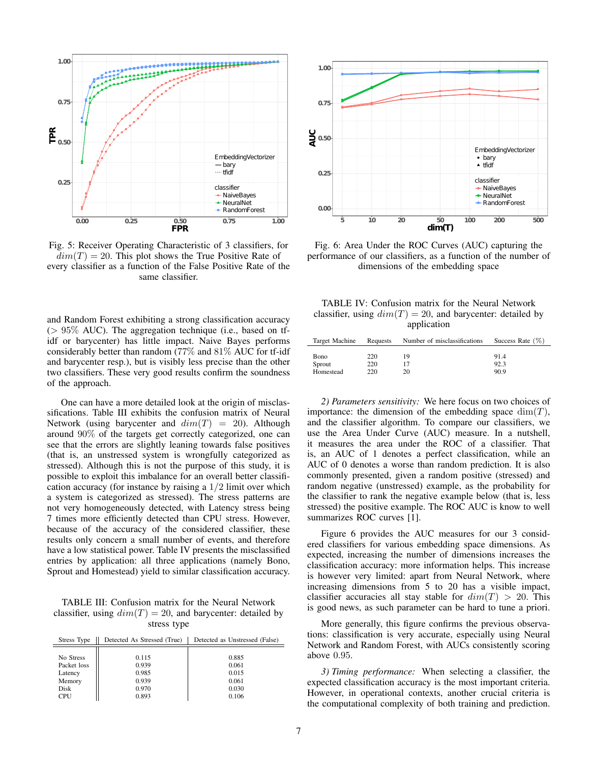

Fig. 5: Receiver Operating Characteristic of 3 classifiers, for  $dim(T) = 20$ . This plot shows the True Positive Rate of every classifier as a function of the False Positive Rate of the same classifier.

and Random Forest exhibiting a strong classification accuracy  $(> 95\%$  AUC). The aggregation technique (i.e., based on tfidf or barycenter) has little impact. Naive Bayes performs considerably better than random (77% and 81% AUC for tf-idf and barycenter resp.), but is visibly less precise than the other two classifiers. These very good results confirm the soundness of the approach.

One can have a more detailed look at the origin of misclassifications. Table III exhibits the confusion matrix of Neural Network (using barycenter and  $dim(T) = 20$ ). Although around 90% of the targets get correctly categorized, one can see that the errors are slightly leaning towards false positives (that is, an unstressed system is wrongfully categorized as stressed). Although this is not the purpose of this study, it is possible to exploit this imbalance for an overall better classification accuracy (for instance by raising a 1/2 limit over which a system is categorized as stressed). The stress patterns are not very homogeneously detected, with Latency stress being 7 times more efficiently detected than CPU stress. However, because of the accuracy of the considered classifier, these results only concern a small number of events, and therefore have a low statistical power. Table IV presents the misclassified entries by application: all three applications (namely Bono, Sprout and Homestead) yield to similar classification accuracy.

TABLE III: Confusion matrix for the Neural Network classifier, using  $dim(T) = 20$ , and barycenter: detailed by stress type

| Stress Type | Detected As Stressed (True) | Detected as Unstressed (False) |
|-------------|-----------------------------|--------------------------------|
| No Stress   | 0.115                       | 0.885                          |
| Packet loss | 0.939                       | 0.061                          |
| Latency     | 0.985                       | 0.015                          |
| Memory      | 0.939                       | 0.061                          |
| Disk        | 0.970                       | 0.030                          |
| <b>CPU</b>  | 0.893                       | 0.106                          |



Fig. 6: Area Under the ROC Curves (AUC) capturing the performance of our classifiers, as a function of the number of dimensions of the embedding space

TABLE IV: Confusion matrix for the Neural Network classifier, using  $dim(T) = 20$ , and barycenter: detailed by application

| Target Machine              | Requests          | Number of misclassifications | Success Rate $(\%)$  |
|-----------------------------|-------------------|------------------------------|----------------------|
| Bono<br>Sprout<br>Homestead | 220<br>220<br>220 | 19<br>20                     | 91.4<br>92.3<br>90.9 |

*2) Parameters sensitivity:* We here focus on two choices of importance: the dimension of the embedding space  $\dim(T)$ , and the classifier algorithm. To compare our classifiers, we use the Area Under Curve (AUC) measure. In a nutshell, it measures the area under the ROC of a classifier. That is, an AUC of 1 denotes a perfect classification, while an AUC of 0 denotes a worse than random prediction. It is also commonly presented, given a random positive (stressed) and random negative (unstressed) example, as the probability for the classifier to rank the negative example below (that is, less stressed) the positive example. The ROC AUC is know to well summarizes ROC curves [1].

Figure 6 provides the AUC measures for our 3 considered classifiers for various embedding space dimensions. As expected, increasing the number of dimensions increases the classification accuracy: more information helps. This increase is however very limited: apart from Neural Network, where increasing dimensions from 5 to 20 has a visible impact, classifier accuracies all stay stable for  $dim(T) > 20$ . This is good news, as such parameter can be hard to tune a priori.

More generally, this figure confirms the previous observations: classification is very accurate, especially using Neural Network and Random Forest, with AUCs consistently scoring above 0.95.

*3) Timing performance:* When selecting a classifier, the expected classification accuracy is the most important criteria. However, in operational contexts, another crucial criteria is the computational complexity of both training and prediction.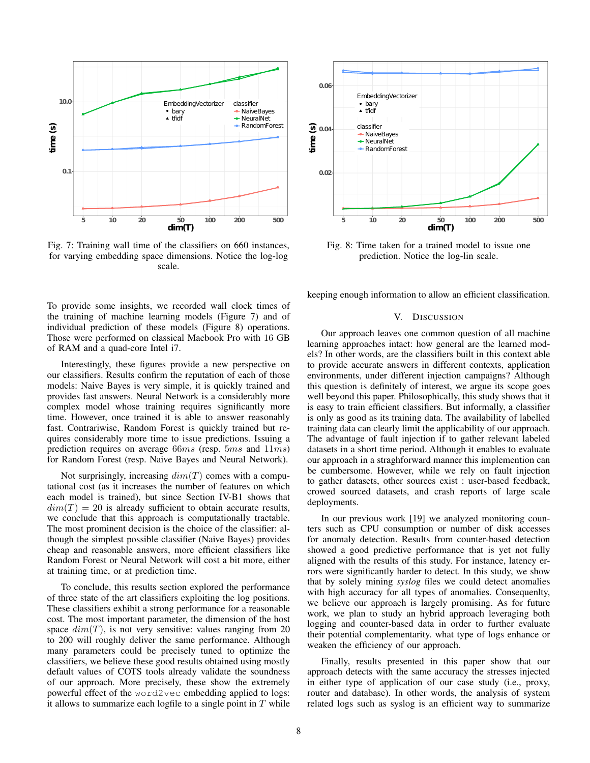

Fig. 7: Training wall time of the classifiers on 660 instances, for varying embedding space dimensions. Notice the log-log scale.

To provide some insights, we recorded wall clock times of the training of machine learning models (Figure 7) and of individual prediction of these models (Figure 8) operations. Those were performed on classical Macbook Pro with 16 GB of RAM and a quad-core Intel i7.

Interestingly, these figures provide a new perspective on our classifiers. Results confirm the reputation of each of those models: Naive Bayes is very simple, it is quickly trained and provides fast answers. Neural Network is a considerably more complex model whose training requires significantly more time. However, once trained it is able to answer reasonably fast. Contrariwise, Random Forest is quickly trained but requires considerably more time to issue predictions. Issuing a prediction requires on average 66ms (resp. 5ms and 11ms) for Random Forest (resp. Naive Bayes and Neural Network).

Not surprisingly, increasing  $dim(T)$  comes with a computational cost (as it increases the number of features on which each model is trained), but since Section IV-B1 shows that  $dim(T) = 20$  is already sufficient to obtain accurate results, we conclude that this approach is computationally tractable. The most prominent decision is the choice of the classifier: although the simplest possible classifier (Naive Bayes) provides cheap and reasonable answers, more efficient classifiers like Random Forest or Neural Network will cost a bit more, either at training time, or at prediction time.

To conclude, this results section explored the performance of three state of the art classifiers exploiting the log positions. These classifiers exhibit a strong performance for a reasonable cost. The most important parameter, the dimension of the host space  $dim(T)$ , is not very sensitive: values ranging from 20 to 200 will roughly deliver the same performance. Although many parameters could be precisely tuned to optimize the classifiers, we believe these good results obtained using mostly default values of COTS tools already validate the soundness of our approach. More precisely, these show the extremely powerful effect of the word2vec embedding applied to logs: it allows to summarize each logfile to a single point in  $T$  while



Fig. 8: Time taken for a trained model to issue one prediction. Notice the log-lin scale.

keeping enough information to allow an efficient classification.

#### V. DISCUSSION

Our approach leaves one common question of all machine learning approaches intact: how general are the learned models? In other words, are the classifiers built in this context able to provide accurate answers in different contexts, application environments, under different injection campaigns? Although this question is definitely of interest, we argue its scope goes well beyond this paper. Philosophically, this study shows that it is easy to train efficient classifiers. But informally, a classifier is only as good as its training data. The availability of labelled training data can clearly limit the applicability of our approach. The advantage of fault injection if to gather relevant labeled datasets in a short time period. Although it enables to evaluate our approach in a straghforward manner this implemention can be cumbersome. However, while we rely on fault injection to gather datasets, other sources exist : user-based feedback, crowed sourced datasets, and crash reports of large scale deployments.

In our previous work [19] we analyzed monitoring counters such as CPU consumption or number of disk accesses for anomaly detection. Results from counter-based detection showed a good predictive performance that is yet not fully aligned with the results of this study. For instance, latency errors were significantly harder to detect. In this study, we show that by solely mining *syslog* files we could detect anomalies with high accuracy for all types of anomalies. Consequenlty, we believe our approach is largely promising. As for future work, we plan to study an hybrid approach leveraging both logging and counter-based data in order to further evaluate their potential complementarity. what type of logs enhance or weaken the efficiency of our approach.

Finally, results presented in this paper show that our approach detects with the same accuracy the stresses injected in either type of application of our case study (i.e., proxy, router and database). In other words, the analysis of system related logs such as syslog is an efficient way to summarize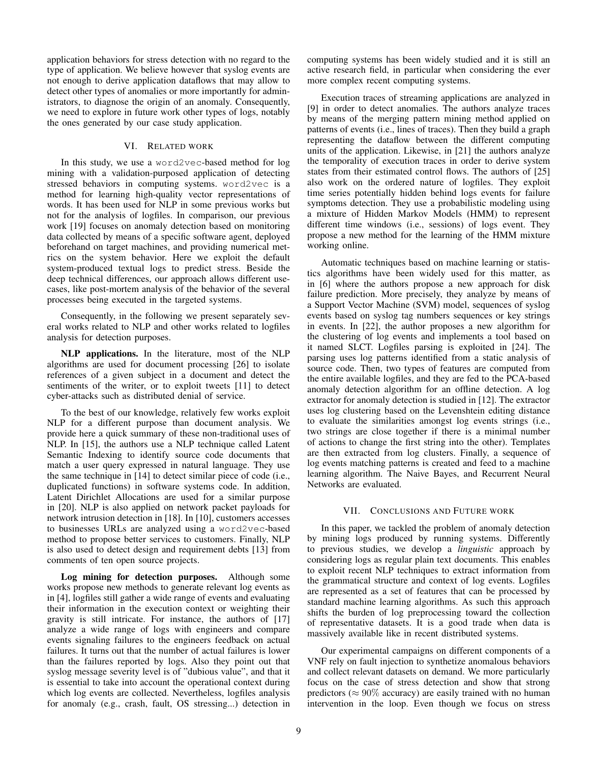application behaviors for stress detection with no regard to the type of application. We believe however that syslog events are not enough to derive application dataflows that may allow to detect other types of anomalies or more importantly for administrators, to diagnose the origin of an anomaly. Consequently, we need to explore in future work other types of logs, notably the ones generated by our case study application.

## VI. RELATED WORK

In this study, we use a word2vec-based method for log mining with a validation-purposed application of detecting stressed behaviors in computing systems. word2vec is a method for learning high-quality vector representations of words. It has been used for NLP in some previous works but not for the analysis of logfiles. In comparison, our previous work [19] focuses on anomaly detection based on monitoring data collected by means of a specific software agent, deployed beforehand on target machines, and providing numerical metrics on the system behavior. Here we exploit the default system-produced textual logs to predict stress. Beside the deep technical differences, our approach allows different usecases, like post-mortem analysis of the behavior of the several processes being executed in the targeted systems.

Consequently, in the following we present separately several works related to NLP and other works related to logfiles analysis for detection purposes.

NLP applications. In the literature, most of the NLP algorithms are used for document processing [26] to isolate references of a given subject in a document and detect the sentiments of the writer, or to exploit tweets [11] to detect cyber-attacks such as distributed denial of service.

To the best of our knowledge, relatively few works exploit NLP for a different purpose than document analysis. We provide here a quick summary of these non-traditional uses of NLP. In [15], the authors use a NLP technique called Latent Semantic Indexing to identify source code documents that match a user query expressed in natural language. They use the same technique in [14] to detect similar piece of code (i.e., duplicated functions) in software systems code. In addition, Latent Dirichlet Allocations are used for a similar purpose in [20]. NLP is also applied on network packet payloads for network intrusion detection in [18]. In [10], customers accesses to businesses URLs are analyzed using a word2vec-based method to propose better services to customers. Finally, NLP is also used to detect design and requirement debts [13] from comments of ten open source projects.

Log mining for detection purposes. Although some works propose new methods to generate relevant log events as in [4], logfiles still gather a wide range of events and evaluating their information in the execution context or weighting their gravity is still intricate. For instance, the authors of [17] analyze a wide range of logs with engineers and compare events signaling failures to the engineers feedback on actual failures. It turns out that the number of actual failures is lower than the failures reported by logs. Also they point out that syslog message severity level is of "dubious value", and that it is essential to take into account the operational context during which log events are collected. Nevertheless, logfiles analysis for anomaly (e.g., crash, fault, OS stressing...) detection in computing systems has been widely studied and it is still an active research field, in particular when considering the ever more complex recent computing systems.

Execution traces of streaming applications are analyzed in [9] in order to detect anomalies. The authors analyze traces by means of the merging pattern mining method applied on patterns of events (i.e., lines of traces). Then they build a graph representing the dataflow between the different computing units of the application. Likewise, in [21] the authors analyze the temporality of execution traces in order to derive system states from their estimated control flows. The authors of [25] also work on the ordered nature of logfiles. They exploit time series potentially hidden behind logs events for failure symptoms detection. They use a probabilistic modeling using a mixture of Hidden Markov Models (HMM) to represent different time windows (i.e., sessions) of logs event. They propose a new method for the learning of the HMM mixture working online.

Automatic techniques based on machine learning or statistics algorithms have been widely used for this matter, as in [6] where the authors propose a new approach for disk failure prediction. More precisely, they analyze by means of a Support Vector Machine (SVM) model, sequences of syslog events based on syslog tag numbers sequences or key strings in events. In [22], the author proposes a new algorithm for the clustering of log events and implements a tool based on it named SLCT. Logfiles parsing is exploited in [24]. The parsing uses log patterns identified from a static analysis of source code. Then, two types of features are computed from the entire available logfiles, and they are fed to the PCA-based anomaly detection algorithm for an offline detection. A log extractor for anomaly detection is studied in [12]. The extractor uses log clustering based on the Levenshtein editing distance to evaluate the similarities amongst log events strings (i.e., two strings are close together if there is a minimal number of actions to change the first string into the other). Templates are then extracted from log clusters. Finally, a sequence of log events matching patterns is created and feed to a machine learning algorithm. The Naive Bayes, and Recurrent Neural Networks are evaluated.

## VII. CONCLUSIONS AND FUTURE WORK

In this paper, we tackled the problem of anomaly detection by mining logs produced by running systems. Differently to previous studies, we develop a *linguistic* approach by considering logs as regular plain text documents. This enables to exploit recent NLP techniques to extract information from the grammatical structure and context of log events. Logfiles are represented as a set of features that can be processed by standard machine learning algorithms. As such this approach shifts the burden of log preprocessing toward the collection of representative datasets. It is a good trade when data is massively available like in recent distributed systems.

Our experimental campaigns on different components of a VNF rely on fault injection to synthetize anomalous behaviors and collect relevant datasets on demand. We more particularly focus on the case of stress detection and show that strong predictors ( $\approx 90\%$  accuracy) are easily trained with no human intervention in the loop. Even though we focus on stress